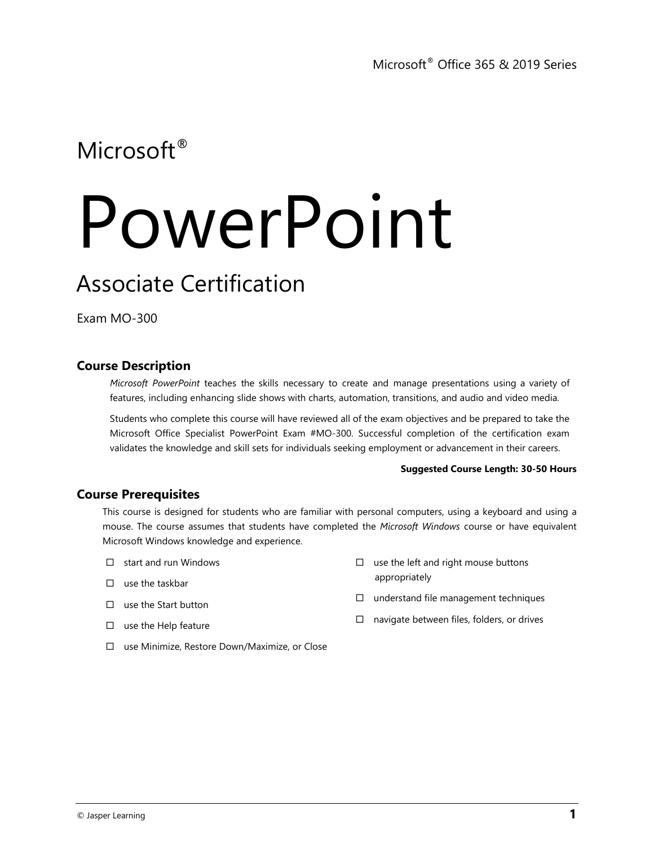# Microsoft<sup>®</sup>

# PowerPoint

## Associate Certification

Exam MO-300

## **Course Description**

*Microsoft PowerPoint* teaches the skills necessary to create and manage presentations using a variety of features, including enhancing slide shows with charts, automation, transitions, and audio and video media.

Students who complete this course will have reviewed all of the exam objectives and be prepared to take the Microsoft Office Specialist PowerPoint Exam #MO-300. Successful completion of the certification exam validates the knowledge and skill sets for individuals seeking employment or advancement in their careers.

#### **Suggested Course Length: 30-50 Hours**

### **Course Prerequisites**

This course is designed for students who are familiar with personal computers, using a keyboard and using a mouse. The course assumes that students have completed the *Microsoft Windows* course or have equivalent Microsoft Windows knowledge and experience.

- start and run Windows
- $\square$  use the taskbar
- $\square$  use the Start button
- $\square$  use the Help feature
- $\square$  use the left and right mouse buttons appropriately
- $\square$  understand file management techniques
- $\Box$  navigate between files, folders, or drives
- use Minimize, Restore Down/Maximize, or Close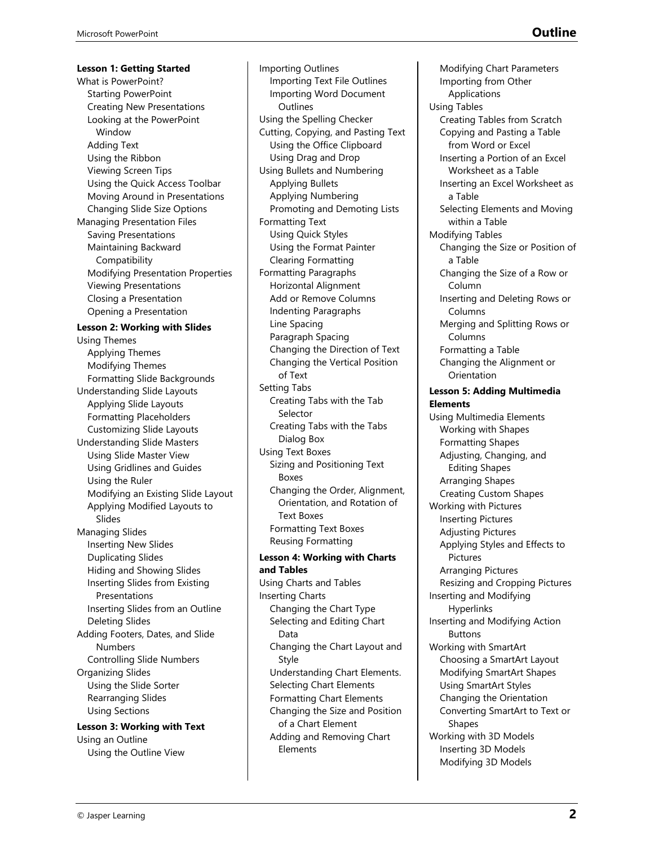**Lesson 1: Getting Started** What is PowerPoint? Starting PowerPoint Creating New Presentations Looking at the PowerPoint Window Adding Text Using the Ribbon Viewing Screen Tips Using the Quick Access Toolbar Moving Around in Presentations Changing Slide Size Options Managing Presentation Files Saving Presentations Maintaining Backward **Compatibility** Modifying Presentation Properties Viewing Presentations Closing a Presentation Opening a Presentation **Lesson 2: Working with Slides** Using Themes Applying Themes Modifying Themes Formatting Slide Backgrounds Understanding Slide Layouts Applying Slide Layouts Formatting Placeholders Customizing Slide Layouts Understanding Slide Masters Using Slide Master View Using Gridlines and Guides Using the Ruler Modifying an Existing Slide Layout Applying Modified Layouts to Slides Managing Slides Inserting New Slides Duplicating Slides Hiding and Showing Slides Inserting Slides from Existing Presentations Inserting Slides from an Outline Deleting Slides Adding Footers, Dates, and Slide Numbers Controlling Slide Numbers Organizing Slides Using the Slide Sorter Rearranging Slides Using Sections

**Lesson 3: Working with Text** Using an Outline Using the Outline View

Importing Outlines Importing Text File Outlines Importing Word Document **Outlines** Using the Spelling Checker Cutting, Copying, and Pasting Text Using the Office Clipboard Using Drag and Drop Using Bullets and Numbering Applying Bullets Applying Numbering Promoting and Demoting Lists Formatting Text Using Quick Styles Using the Format Painter Clearing Formatting Formatting Paragraphs Horizontal Alignment Add or Remove Columns Indenting Paragraphs Line Spacing Paragraph Spacing Changing the Direction of Text Changing the Vertical Position of Text Setting Tabs Creating Tabs with the Tab Selector Creating Tabs with the Tabs Dialog Box Using Text Boxes Sizing and Positioning Text Boxes Changing the Order, Alignment, Orientation, and Rotation of Text Boxes Formatting Text Boxes Reusing Formatting **Lesson 4: Working with Charts and Tables** Using Charts and Tables Inserting Charts Changing the Chart Type Selecting and Editing Chart

Data Changing the Chart Layout and Style Understanding Chart Elements. Selecting Chart Elements Formatting Chart Elements Changing the Size and Position of a Chart Element Adding and Removing Chart Elements

Modifying Chart Parameters Importing from Other Applications Using Tables Creating Tables from Scratch Copying and Pasting a Table from Word or Excel Inserting a Portion of an Excel Worksheet as a Table Inserting an Excel Worksheet as a Table Selecting Elements and Moving within a Table Modifying Tables Changing the Size or Position of a Table Changing the Size of a Row or Column Inserting and Deleting Rows or Columns Merging and Splitting Rows or Columns Formatting a Table Changing the Alignment or **Orientation Lesson 5: Adding Multimedia Elements** Using Multimedia Elements Working with Shapes Formatting Shapes Adjusting, Changing, and Editing Shapes Arranging Shapes Creating Custom Shapes Working with Pictures Inserting Pictures Adjusting Pictures Applying Styles and Effects to Pictures Arranging Pictures Resizing and Cropping Pictures Inserting and Modifying Hyperlinks Inserting and Modifying Action Buttons Working with SmartArt Choosing a SmartArt Layout Modifying SmartArt Shapes Using SmartArt Styles Changing the Orientation Converting SmartArt to Text or Shapes Working with 3D Models Inserting 3D Models Modifying 3D Models